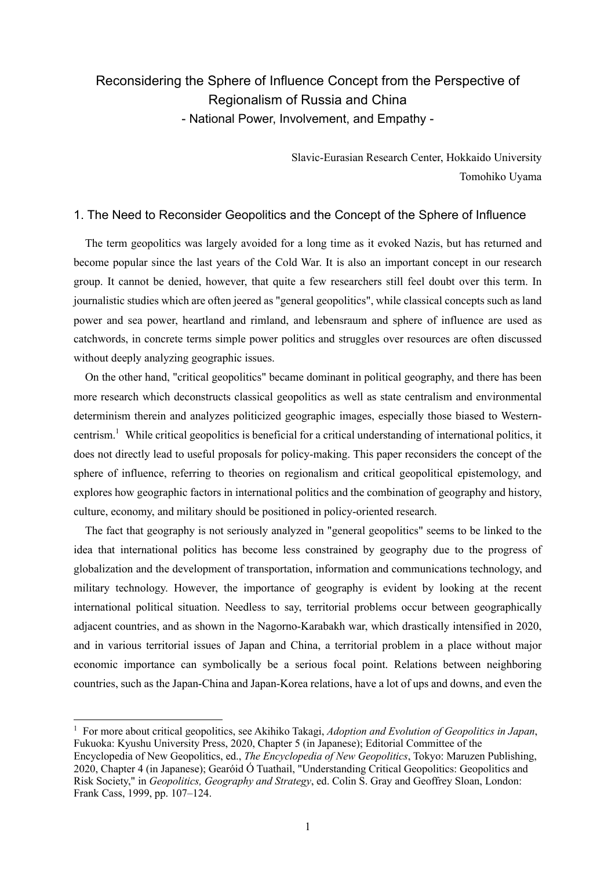# Reconsidering the Sphere of Influence Concept from the Perspective of Regionalism of Russia and China - National Power, Involvement, and Empathy -

Slavic-Eurasian Research Center, Hokkaido University Tomohiko Uyama

### 1. The Need to Reconsider Geopolitics and the Concept of the Sphere of Influence

The term geopolitics was largely avoided for a long time as it evoked Nazis, but has returned and become popular since the last years of the Cold War. It is also an important concept in our research group. It cannot be denied, however, that quite a few researchers still feel doubt over this term. In journalistic studies which are often jeered as "general geopolitics", while classical concepts such as land power and sea power, heartland and rimland, and lebensraum and sphere of influence are used as catchwords, in concrete terms simple power politics and struggles over resources are often discussed without deeply analyzing geographic issues.

On the other hand, "critical geopolitics" became dominant in political geography, and there has been more research which deconstructs classical geopolitics as well as state centralism and environmental determinism therein and analyzes politicized geographic images, especially those biased to Westerncentrism.<sup>1</sup> While critical geopolitics is beneficial for a critical understanding of international politics, it does not directly lead to useful proposals for policy-making. This paper reconsiders the concept of the sphere of influence, referring to theories on regionalism and critical geopolitical epistemology, and explores how geographic factors in international politics and the combination of geography and history, culture, economy, and military should be positioned in policy-oriented research.

The fact that geography is not seriously analyzed in "general geopolitics" seems to be linked to the idea that international politics has become less constrained by geography due to the progress of globalization and the development of transportation, information and communications technology, and military technology. However, the importance of geography is evident by looking at the recent international political situation. Needless to say, territorial problems occur between geographically adjacent countries, and as shown in the Nagorno-Karabakh war, which drastically intensified in 2020, and in various territorial issues of Japan and China, a territorial problem in a place without major economic importance can symbolically be a serious focal point. Relations between neighboring countries, such as the Japan-China and Japan-Korea relations, have a lot of ups and downs, and even the

<sup>1</sup> For more about critical geopolitics, see Akihiko Takagi, *Adoption and Evolution of Geopolitics in Japan*, Fukuoka: Kyushu University Press, 2020, Chapter 5 (in Japanese); Editorial Committee of the Encyclopedia of New Geopolitics, ed., *The Encyclopedia of New Geopolitics*, Tokyo: Maruzen Publishing, 2020, Chapter 4 (in Japanese); Gearóid Ó Tuathail, "Understanding Critical Geopolitics: Geopolitics and Risk Society," in *Geopolitics, Geography and Strategy*, ed. Colin S. Gray and Geoffrey Sloan, London: Frank Cass, 1999, pp. 107–124.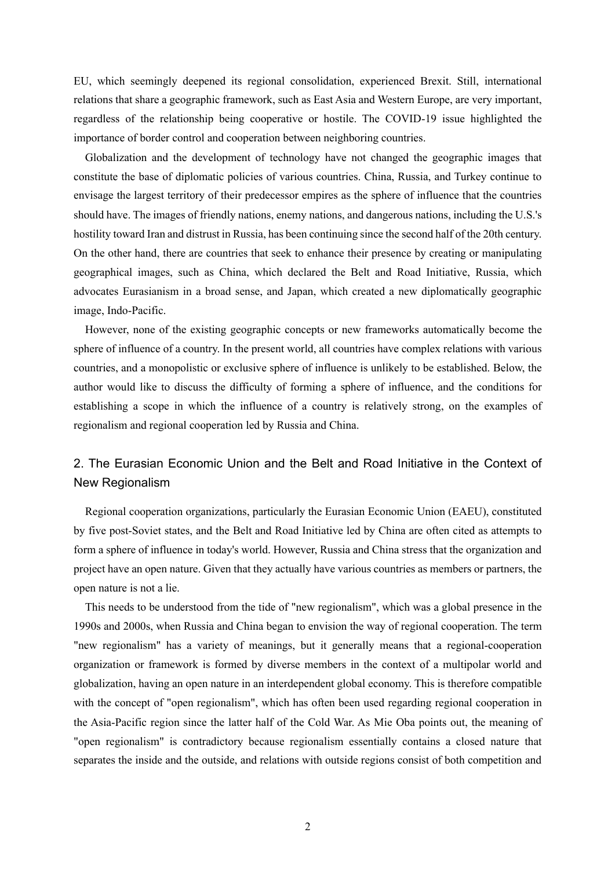EU, which seemingly deepened its regional consolidation, experienced Brexit. Still, international relations that share a geographic framework, such as East Asia and Western Europe, are very important, regardless of the relationship being cooperative or hostile. The COVID-19 issue highlighted the importance of border control and cooperation between neighboring countries.

Globalization and the development of technology have not changed the geographic images that constitute the base of diplomatic policies of various countries. China, Russia, and Turkey continue to envisage the largest territory of their predecessor empires as the sphere of influence that the countries should have. The images of friendly nations, enemy nations, and dangerous nations, including the U.S.'s hostility toward Iran and distrust in Russia, has been continuing since the second half of the 20th century. On the other hand, there are countries that seek to enhance their presence by creating or manipulating geographical images, such as China, which declared the Belt and Road Initiative, Russia, which advocates Eurasianism in a broad sense, and Japan, which created a new diplomatically geographic image, Indo-Pacific.

However, none of the existing geographic concepts or new frameworks automatically become the sphere of influence of a country. In the present world, all countries have complex relations with various countries, and a monopolistic or exclusive sphere of influence is unlikely to be established. Below, the author would like to discuss the difficulty of forming a sphere of influence, and the conditions for establishing a scope in which the influence of a country is relatively strong, on the examples of regionalism and regional cooperation led by Russia and China.

## 2. The Eurasian Economic Union and the Belt and Road Initiative in the Context of New Regionalism

Regional cooperation organizations, particularly the Eurasian Economic Union (EAEU), constituted by five post-Soviet states, and the Belt and Road Initiative led by China are often cited as attempts to form a sphere of influence in today's world. However, Russia and China stress that the organization and project have an open nature. Given that they actually have various countries as members or partners, the open nature is not a lie.

This needs to be understood from the tide of "new regionalism", which was a global presence in the 1990s and 2000s, when Russia and China began to envision the way of regional cooperation. The term "new regionalism" has a variety of meanings, but it generally means that a regional-cooperation organization or framework is formed by diverse members in the context of a multipolar world and globalization, having an open nature in an interdependent global economy. This is therefore compatible with the concept of "open regionalism", which has often been used regarding regional cooperation in the Asia-Pacific region since the latter half of the Cold War. As Mie Oba points out, the meaning of "open regionalism" is contradictory because regionalism essentially contains a closed nature that separates the inside and the outside, and relations with outside regions consist of both competition and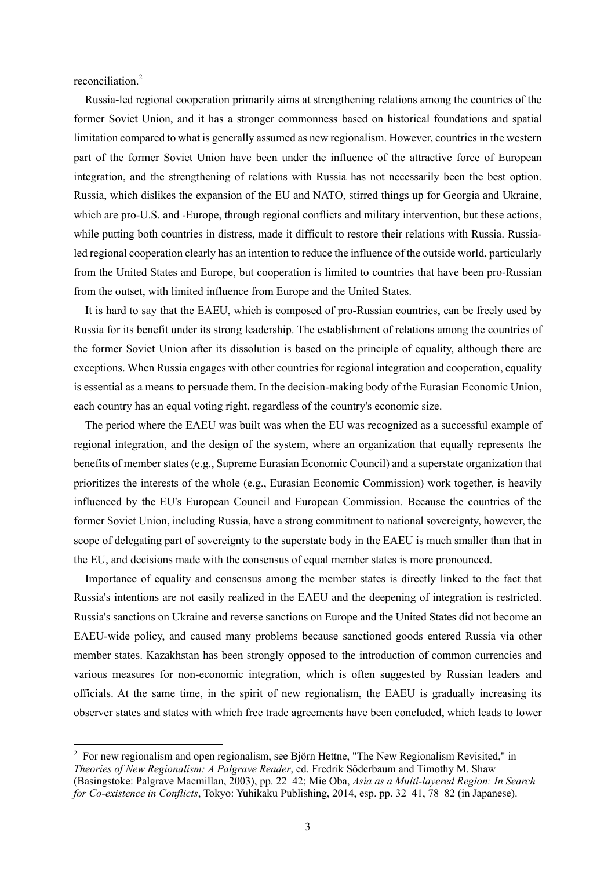reconciliation.<sup>2</sup>

Russia-led regional cooperation primarily aims at strengthening relations among the countries of the former Soviet Union, and it has a stronger commonness based on historical foundations and spatial limitation compared to what is generally assumed as new regionalism. However, countries in the western part of the former Soviet Union have been under the influence of the attractive force of European integration, and the strengthening of relations with Russia has not necessarily been the best option. Russia, which dislikes the expansion of the EU and NATO, stirred things up for Georgia and Ukraine, which are pro-U.S. and -Europe, through regional conflicts and military intervention, but these actions, while putting both countries in distress, made it difficult to restore their relations with Russia. Russialed regional cooperation clearly has an intention to reduce the influence of the outside world, particularly from the United States and Europe, but cooperation is limited to countries that have been pro-Russian from the outset, with limited influence from Europe and the United States.

It is hard to say that the EAEU, which is composed of pro-Russian countries, can be freely used by Russia for its benefit under its strong leadership. The establishment of relations among the countries of the former Soviet Union after its dissolution is based on the principle of equality, although there are exceptions. When Russia engages with other countries for regional integration and cooperation, equality is essential as a means to persuade them. In the decision-making body of the Eurasian Economic Union, each country has an equal voting right, regardless of the country's economic size.

The period where the EAEU was built was when the EU was recognized as a successful example of regional integration, and the design of the system, where an organization that equally represents the benefits of member states (e.g., Supreme Eurasian Economic Council) and a superstate organization that prioritizes the interests of the whole (e.g., Eurasian Economic Commission) work together, is heavily influenced by the EU's European Council and European Commission. Because the countries of the former Soviet Union, including Russia, have a strong commitment to national sovereignty, however, the scope of delegating part of sovereignty to the superstate body in the EAEU is much smaller than that in the EU, and decisions made with the consensus of equal member states is more pronounced.

Importance of equality and consensus among the member states is directly linked to the fact that Russia's intentions are not easily realized in the EAEU and the deepening of integration is restricted. Russia's sanctions on Ukraine and reverse sanctions on Europe and the United States did not become an EAEU-wide policy, and caused many problems because sanctioned goods entered Russia via other member states. Kazakhstan has been strongly opposed to the introduction of common currencies and various measures for non-economic integration, which is often suggested by Russian leaders and officials. At the same time, in the spirit of new regionalism, the EAEU is gradually increasing its observer states and states with which free trade agreements have been concluded, which leads to lower

 $2\,$  For new regionalism and open regionalism, see Björn Hettne, "The New Regionalism Revisited," in *Theories of New Regionalism: A Palgrave Reader*, ed. Fredrik Söderbaum and Timothy M. Shaw (Basingstoke: Palgrave Macmillan, 2003), pp. 22–42; Mie Oba, *Asia as a Multi-layered Region: In Search for Co-existence in Conflicts*, Tokyo: Yuhikaku Publishing, 2014, esp. pp. 32–41, 78–82 (in Japanese).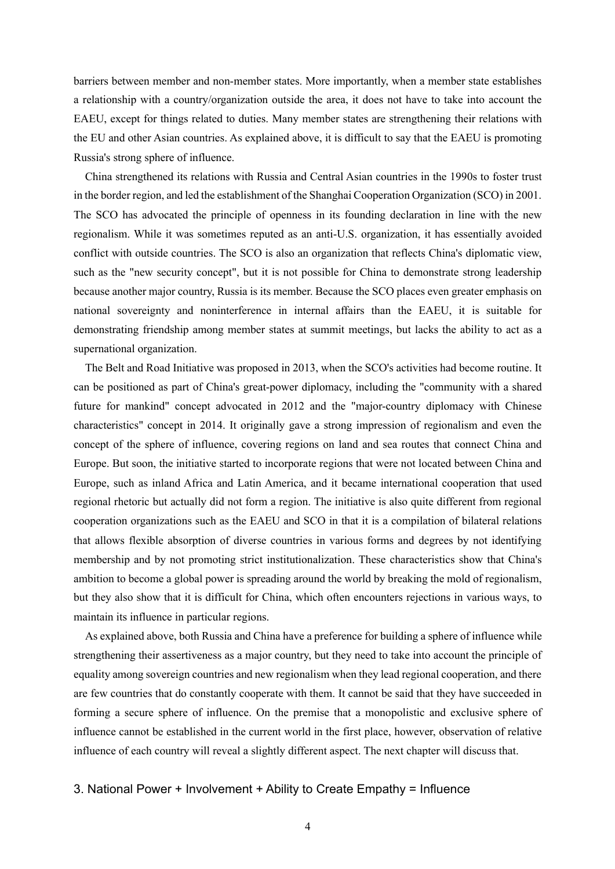barriers between member and non-member states. More importantly, when a member state establishes a relationship with a country/organization outside the area, it does not have to take into account the EAEU, except for things related to duties. Many member states are strengthening their relations with the EU and other Asian countries. As explained above, it is difficult to say that the EAEU is promoting Russia's strong sphere of influence.

China strengthened its relations with Russia and Central Asian countries in the 1990s to foster trust in the border region, and led the establishment of the Shanghai Cooperation Organization (SCO) in 2001. The SCO has advocated the principle of openness in its founding declaration in line with the new regionalism. While it was sometimes reputed as an anti-U.S. organization, it has essentially avoided conflict with outside countries. The SCO is also an organization that reflects China's diplomatic view, such as the "new security concept", but it is not possible for China to demonstrate strong leadership because another major country, Russia is its member. Because the SCO places even greater emphasis on national sovereignty and noninterference in internal affairs than the EAEU, it is suitable for demonstrating friendship among member states at summit meetings, but lacks the ability to act as a supernational organization.

The Belt and Road Initiative was proposed in 2013, when the SCO's activities had become routine. It can be positioned as part of China's great-power diplomacy, including the "community with a shared future for mankind" concept advocated in 2012 and the "major-country diplomacy with Chinese characteristics" concept in 2014. It originally gave a strong impression of regionalism and even the concept of the sphere of influence, covering regions on land and sea routes that connect China and Europe. But soon, the initiative started to incorporate regions that were not located between China and Europe, such as inland Africa and Latin America, and it became international cooperation that used regional rhetoric but actually did not form a region. The initiative is also quite different from regional cooperation organizations such as the EAEU and SCO in that it is a compilation of bilateral relations that allows flexible absorption of diverse countries in various forms and degrees by not identifying membership and by not promoting strict institutionalization. These characteristics show that China's ambition to become a global power is spreading around the world by breaking the mold of regionalism, but they also show that it is difficult for China, which often encounters rejections in various ways, to maintain its influence in particular regions.

As explained above, both Russia and China have a preference for building a sphere of influence while strengthening their assertiveness as a major country, but they need to take into account the principle of equality among sovereign countries and new regionalism when they lead regional cooperation, and there are few countries that do constantly cooperate with them. It cannot be said that they have succeeded in forming a secure sphere of influence. On the premise that a monopolistic and exclusive sphere of influence cannot be established in the current world in the first place, however, observation of relative influence of each country will reveal a slightly different aspect. The next chapter will discuss that.

### 3. National Power + Involvement + Ability to Create Empathy = Influence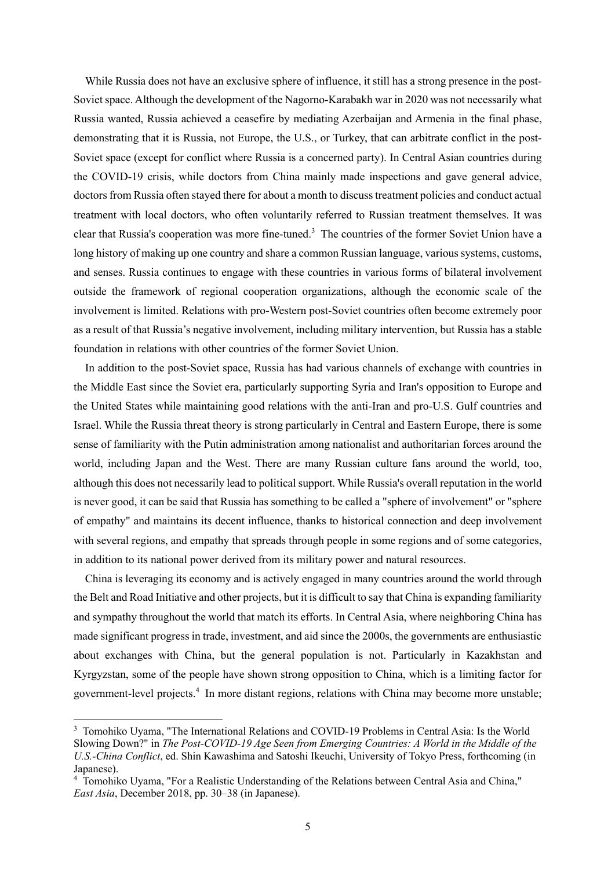While Russia does not have an exclusive sphere of influence, it still has a strong presence in the post-Soviet space. Although the development of the Nagorno-Karabakh war in 2020 was not necessarily what Russia wanted, Russia achieved a ceasefire by mediating Azerbaijan and Armenia in the final phase, demonstrating that it is Russia, not Europe, the U.S., or Turkey, that can arbitrate conflict in the post-Soviet space (except for conflict where Russia is a concerned party). In Central Asian countries during the COVID-19 crisis, while doctors from China mainly made inspections and gave general advice, doctors from Russia often stayed there for about a month to discuss treatment policies and conduct actual treatment with local doctors, who often voluntarily referred to Russian treatment themselves. It was clear that Russia's cooperation was more fine-tuned.<sup>3</sup> The countries of the former Soviet Union have a long history of making up one country and share a common Russian language, various systems, customs, and senses. Russia continues to engage with these countries in various forms of bilateral involvement outside the framework of regional cooperation organizations, although the economic scale of the involvement is limited. Relations with pro-Western post-Soviet countries often become extremely poor as a result of that Russia's negative involvement, including military intervention, but Russia has a stable foundation in relations with other countries of the former Soviet Union.

In addition to the post-Soviet space, Russia has had various channels of exchange with countries in the Middle East since the Soviet era, particularly supporting Syria and Iran's opposition to Europe and the United States while maintaining good relations with the anti-Iran and pro-U.S. Gulf countries and Israel. While the Russia threat theory is strong particularly in Central and Eastern Europe, there is some sense of familiarity with the Putin administration among nationalist and authoritarian forces around the world, including Japan and the West. There are many Russian culture fans around the world, too, although this does not necessarily lead to political support. While Russia's overall reputation in the world is never good, it can be said that Russia has something to be called a "sphere of involvement" or "sphere of empathy" and maintains its decent influence, thanks to historical connection and deep involvement with several regions, and empathy that spreads through people in some regions and of some categories, in addition to its national power derived from its military power and natural resources.

China is leveraging its economy and is actively engaged in many countries around the world through the Belt and Road Initiative and other projects, but it is difficult to say that China is expanding familiarity and sympathy throughout the world that match its efforts. In Central Asia, where neighboring China has made significant progress in trade, investment, and aid since the 2000s, the governments are enthusiastic about exchanges with China, but the general population is not. Particularly in Kazakhstan and Kyrgyzstan, some of the people have shown strong opposition to China, which is a limiting factor for government-level projects. <sup>4</sup> In more distant regions, relations with China may become more unstable;

<sup>&</sup>lt;sup>3</sup> Tomohiko Uyama, "The International Relations and COVID-19 Problems in Central Asia: Is the World Slowing Down?" in *The Post-COVID-19 Age Seen from Emerging Countries: A World in the Middle of the U.S.-China Conflict*, ed. Shin Kawashima and Satoshi Ikeuchi, University of Tokyo Press, forthcoming (in Japanese).

<sup>4</sup> Tomohiko Uyama, "For a Realistic Understanding of the Relations between Central Asia and China," *East Asia*, December 2018, pp. 30–38 (in Japanese).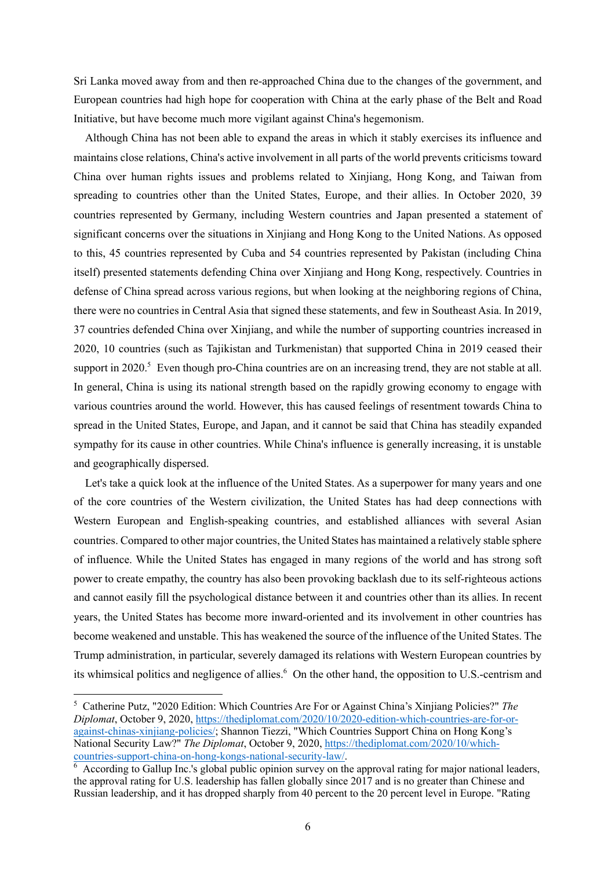Sri Lanka moved away from and then re-approached China due to the changes of the government, and European countries had high hope for cooperation with China at the early phase of the Belt and Road Initiative, but have become much more vigilant against China's hegemonism.

Although China has not been able to expand the areas in which it stably exercises its influence and maintains close relations, China's active involvement in all parts of the world prevents criticisms toward China over human rights issues and problems related to Xinjiang, Hong Kong, and Taiwan from spreading to countries other than the United States, Europe, and their allies. In October 2020, 39 countries represented by Germany, including Western countries and Japan presented a statement of significant concerns over the situations in Xinjiang and Hong Kong to the United Nations. As opposed to this, 45 countries represented by Cuba and 54 countries represented by Pakistan (including China itself) presented statements defending China over Xinjiang and Hong Kong, respectively. Countries in defense of China spread across various regions, but when looking at the neighboring regions of China, there were no countries in Central Asia that signed these statements, and few in Southeast Asia. In 2019, 37 countries defended China over Xinjiang, and while the number of supporting countries increased in 2020, 10 countries (such as Tajikistan and Turkmenistan) that supported China in 2019 ceased their support in 2020.<sup>5</sup> Even though pro-China countries are on an increasing trend, they are not stable at all. In general, China is using its national strength based on the rapidly growing economy to engage with various countries around the world. However, this has caused feelings of resentment towards China to spread in the United States, Europe, and Japan, and it cannot be said that China has steadily expanded sympathy for its cause in other countries. While China's influence is generally increasing, it is unstable and geographically dispersed.

Let's take a quick look at the influence of the United States. As a superpower for many years and one of the core countries of the Western civilization, the United States has had deep connections with Western European and English-speaking countries, and established alliances with several Asian countries. Compared to other major countries, the United States has maintained a relatively stable sphere of influence. While the United States has engaged in many regions of the world and has strong soft power to create empathy, the country has also been provoking backlash due to its self-righteous actions and cannot easily fill the psychological distance between it and countries other than its allies. In recent years, the United States has become more inward-oriented and its involvement in other countries has become weakened and unstable. This has weakened the source of the influence of the United States. The Trump administration, in particular, severely damaged its relations with Western European countries by its whimsical politics and negligence of allies. <sup>6</sup> On the other hand, the opposition to U.S.-centrism and

<sup>5</sup> Catherine Putz, "2020 Edition: Which Countries Are For or Against China's Xinjiang Policies?" *The Diplomat*, October 9, 2020, https://thediplomat.com/2020/10/2020-edition-which-countries-are-for-oragainst-chinas-xinjiang-policies/; Shannon Tiezzi, "Which Countries Support China on Hong Kong's National Security Law?" *The Diplomat*, October 9, 2020, https://thediplomat.com/2020/10/whichcountries-support-china-on-hong-kongs-national-security-law/.

<sup>&</sup>lt;sup>6</sup> According to Gallup Inc.'s global public opinion survey on the approval rating for major national leaders, the approval rating for U.S. leadership has fallen globally since 2017 and is no greater than Chinese and Russian leadership, and it has dropped sharply from 40 percent to the 20 percent level in Europe. "Rating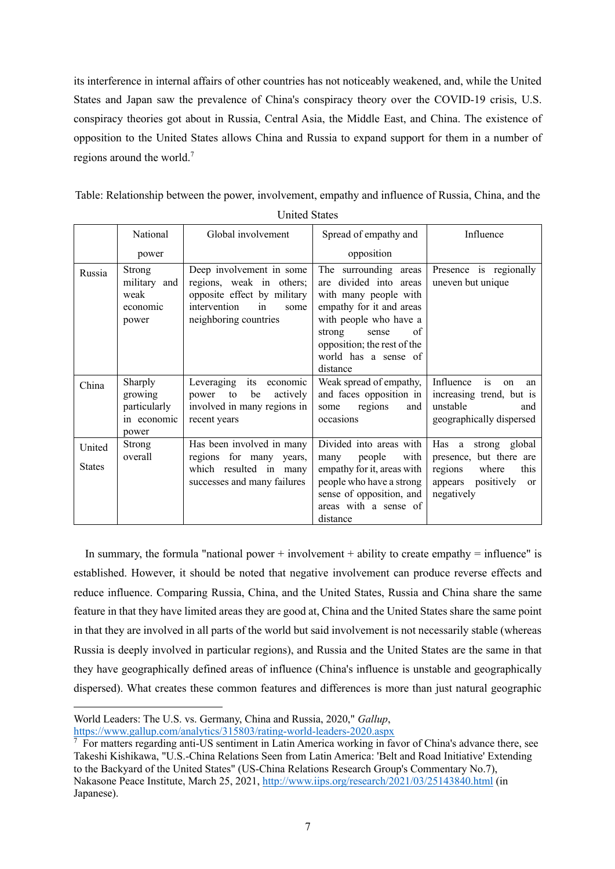its interference in internal affairs of other countries has not noticeably weakened, and, while the United States and Japan saw the prevalence of China's conspiracy theory over the COVID-19 crisis, U.S. conspiracy theories got about in Russia, Central Asia, the Middle East, and China. The existence of opposition to the United States allows China and Russia to expand support for them in a number of regions around the world.<sup>7</sup>

Table: Relationship between the power, involvement, empathy and influence of Russia, China, and the United States

|                         | National                                                   | Global involvement                                                                                                                         | Spread of empathy and                                                                                                                                                                                                         | Influence                                                                                                                      |
|-------------------------|------------------------------------------------------------|--------------------------------------------------------------------------------------------------------------------------------------------|-------------------------------------------------------------------------------------------------------------------------------------------------------------------------------------------------------------------------------|--------------------------------------------------------------------------------------------------------------------------------|
|                         | power                                                      |                                                                                                                                            | opposition                                                                                                                                                                                                                    |                                                                                                                                |
| Russia                  | Strong<br>military and<br>weak<br>economic<br>power        | Deep involvement in some<br>regions, weak in others;<br>opposite effect by military<br>intervention<br>in<br>some<br>neighboring countries | The surrounding areas<br>divided into areas<br>are<br>with many people with<br>empathy for it and areas<br>with people who have a<br>strong<br>sense<br>of<br>opposition; the rest of the<br>world has a sense of<br>distance | Presence is regionally<br>uneven but unique                                                                                    |
| China                   | Sharply<br>growing<br>particularly<br>in economic<br>power | its economic<br>Leveraging<br>be<br>actively<br>power<br>to<br>involved in many regions in<br>recent years                                 | Weak spread of empathy,<br>and faces opposition in<br>regions<br>and<br>some<br>occasions                                                                                                                                     | is<br>Influence<br>on<br>an<br>increasing trend, but is<br>unstable<br>and<br>geographically dispersed                         |
| United<br><b>States</b> | Strong<br>overall                                          | Has been involved in many<br>regions for many years,<br>which resulted in many<br>successes and many failures                              | Divided into areas with<br>people<br>with<br>many<br>empathy for it, areas with<br>people who have a strong<br>sense of opposition, and<br>areas with a sense of<br>distance                                                  | Has a strong global<br>presence, but there are<br>regions<br>where<br>this<br>positively<br>appears<br><b>or</b><br>negatively |

In summary, the formula "national power + involvement + ability to create empathy = influence" is established. However, it should be noted that negative involvement can produce reverse effects and reduce influence. Comparing Russia, China, and the United States, Russia and China share the same feature in that they have limited areas they are good at, China and the United States share the same point in that they are involved in all parts of the world but said involvement is not necessarily stable (whereas Russia is deeply involved in particular regions), and Russia and the United States are the same in that they have geographically defined areas of influence (China's influence is unstable and geographically dispersed). What creates these common features and differences is more than just natural geographic

World Leaders: The U.S. vs. Germany, China and Russia, 2020," *Gallup*, https://www.gallup.com/analytics/315803/rating-world-leaders-2020.aspx

<sup>7</sup> For matters regarding anti-US sentiment in Latin America working in favor of China's advance there, see Takeshi Kishikawa, "U.S.-China Relations Seen from Latin America: 'Belt and Road Initiative' Extending to the Backyard of the United States" (US-China Relations Research Group's Commentary No.7), Nakasone Peace Institute, March 25, 2021, http://www.iips.org/research/2021/03/25143840.html (in Japanese).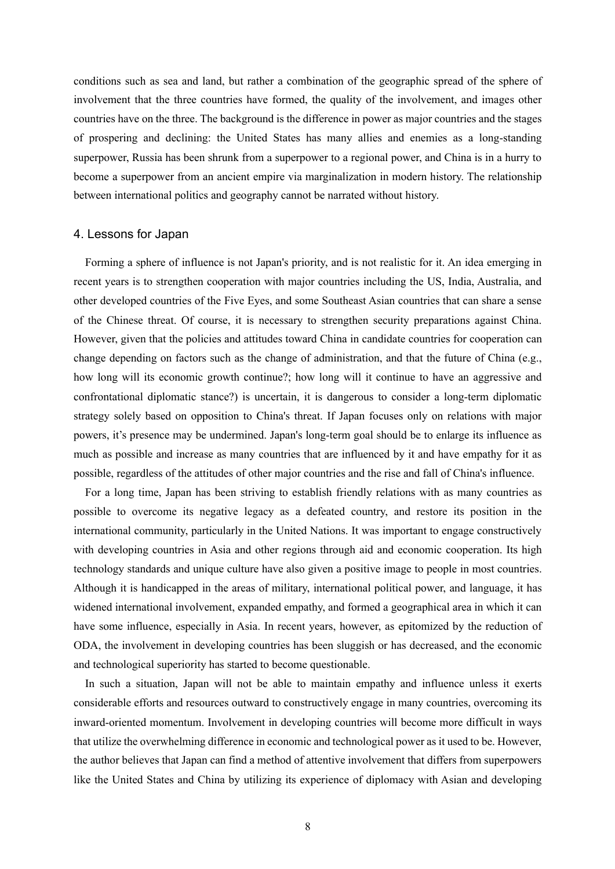conditions such as sea and land, but rather a combination of the geographic spread of the sphere of involvement that the three countries have formed, the quality of the involvement, and images other countries have on the three. The background is the difference in power as major countries and the stages of prospering and declining: the United States has many allies and enemies as a long-standing superpower, Russia has been shrunk from a superpower to a regional power, and China is in a hurry to become a superpower from an ancient empire via marginalization in modern history. The relationship between international politics and geography cannot be narrated without history.

#### 4. Lessons for Japan

Forming a sphere of influence is not Japan's priority, and is not realistic for it. An idea emerging in recent years is to strengthen cooperation with major countries including the US, India, Australia, and other developed countries of the Five Eyes, and some Southeast Asian countries that can share a sense of the Chinese threat. Of course, it is necessary to strengthen security preparations against China. However, given that the policies and attitudes toward China in candidate countries for cooperation can change depending on factors such as the change of administration, and that the future of China (e.g., how long will its economic growth continue?; how long will it continue to have an aggressive and confrontational diplomatic stance?) is uncertain, it is dangerous to consider a long-term diplomatic strategy solely based on opposition to China's threat. If Japan focuses only on relations with major powers, it's presence may be undermined. Japan's long-term goal should be to enlarge its influence as much as possible and increase as many countries that are influenced by it and have empathy for it as possible, regardless of the attitudes of other major countries and the rise and fall of China's influence.

For a long time, Japan has been striving to establish friendly relations with as many countries as possible to overcome its negative legacy as a defeated country, and restore its position in the international community, particularly in the United Nations. It was important to engage constructively with developing countries in Asia and other regions through aid and economic cooperation. Its high technology standards and unique culture have also given a positive image to people in most countries. Although it is handicapped in the areas of military, international political power, and language, it has widened international involvement, expanded empathy, and formed a geographical area in which it can have some influence, especially in Asia. In recent years, however, as epitomized by the reduction of ODA, the involvement in developing countries has been sluggish or has decreased, and the economic and technological superiority has started to become questionable.

In such a situation, Japan will not be able to maintain empathy and influence unless it exerts considerable efforts and resources outward to constructively engage in many countries, overcoming its inward-oriented momentum. Involvement in developing countries will become more difficult in ways that utilize the overwhelming difference in economic and technological power as it used to be. However, the author believes that Japan can find a method of attentive involvement that differs from superpowers like the United States and China by utilizing its experience of diplomacy with Asian and developing